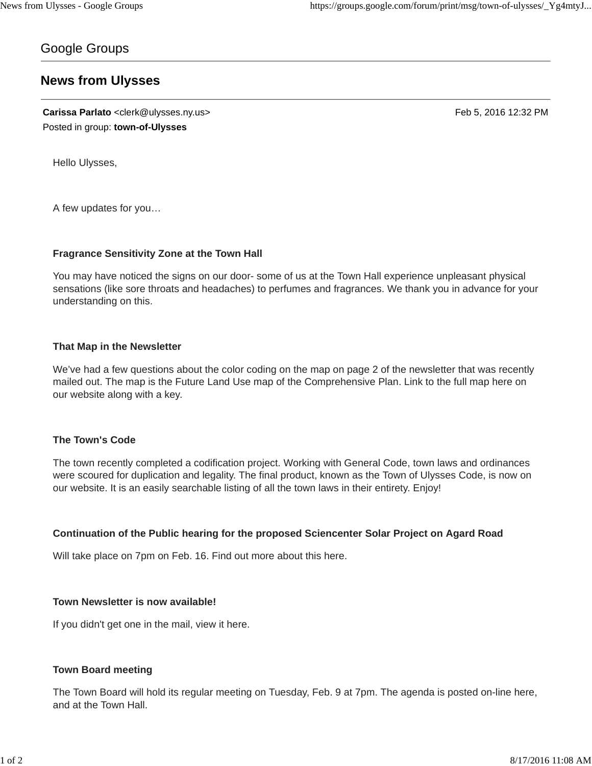# Google Groups

# **News from Ulysses**

**Carissa Parlato** <clerk@ulysses.ny.us> Feb 5, 2016 12:32 PM Posted in group: **town-of-Ulysses**

Hello Ulysses,

A few updates for you…

## **Fragrance Sensitivity Zone at the Town Hall**

You may have noticed the signs on our door- some of us at the Town Hall experience unpleasant physical sensations (like sore throats and headaches) to perfumes and fragrances. We thank you in advance for your understanding on this.

## **That Map in the Newsletter**

We've had a few questions about the color coding on the map on page 2 of the newsletter that was recently mailed out. The map is the Future Land Use map of the Comprehensive Plan. Link to the full map here on our website along with a key.

## **The Town's Code**

The town recently completed a codification project. Working with General Code, town laws and ordinances were scoured for duplication and legality. The final product, known as the Town of Ulysses Code, is now on our website. It is an easily searchable listing of all the town laws in their entirety. Enjoy!

## **Continuation of the Public hearing for the proposed Sciencenter Solar Project on Agard Road**

Will take place on 7pm on Feb. 16. Find out more about this here.

## **Town Newsletter is now available!**

If you didn't get one in the mail, view it here.

## **Town Board meeting**

The Town Board will hold its regular meeting on Tuesday, Feb. 9 at 7pm. The agenda is posted on-line here, and at the Town Hall.